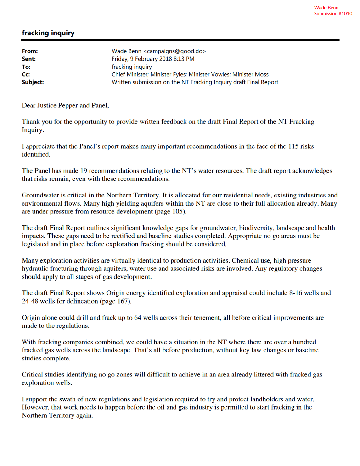## fracking inquiry

| Wade Benn <campaigns@good.do></campaigns@good.do>                |
|------------------------------------------------------------------|
| Friday, 9 February 2018 8:13 PM                                  |
| fracking inquiry                                                 |
| Chief Minister; Minister Fyles; Minister Vowles; Minister Moss   |
| Written submission on the NT Fracking Inquiry draft Final Report |
|                                                                  |

Dear Justice Pepper and Panel,

Thank you for the opportunity to provide written feedback on the draft Final Report of the NT Fracking Inquiry.

I appreciate that the Panel's report makes many important recommendations in the face of the 115 risks identified.

The Panel has made 19 recommendations relating to the NT's water resources. The draft report acknowledges that risks remain, even with these recommendations.

Groundwater is critical in the Northern Territory. It is allocated for our residential needs, existing industries and environmental flows. Many high yielding aquifers within the NT are close to their full allocation already. Many are under pressure from resource development (page 105).

The draft Final Report outlines significant knowledge gaps for groundwater, biodiversity, landscape and health impacts. These gaps need to be rectified and baseline studies completed. Appropriate no go areas must be legislated and in place before exploration fracking should be considered.

Many exploration activities are virtually identical to production activities. Chemical use, high pressure hydraulic fracturing through aquifers, water use and associated risks are involved. Any regulatory changes should apply to all stages of gas development.

The draft Final Report shows Origin energy identified exploration and appraisal could include 8-16 wells and 24-48 wells for delineation (page 167).

Origin alone could drill and frack up to 64 wells across their tenement, all before critical improvements are made to the regulations.

With fracking companies combined, we could have a situation in the NT where there are over a hundred fracked gas wells across the landscape. That's all before production, without key law changes or baseline studies complete.

Critical studies identifying no go zones will difficult to achieve in an area already littered with fracked gas exploration wells.

I support the swath of new regulations and legislation required to try and protect landholders and water. However, that work needs to happen before the oil and gas industry is permitted to start fracking in the Northern Territory again.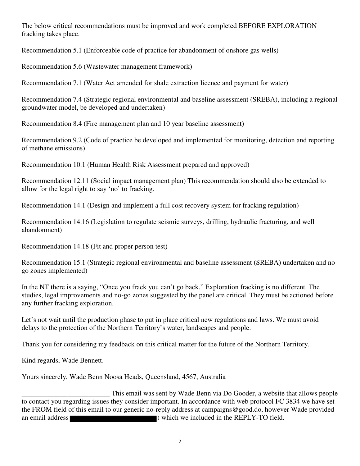The below critical recommendations must be improved and work completed BEFORE EXPLORATION fracking takes place.

Recommendation 5.1 (Enforceable code of practice for abandonment of onshore gas wells)

Recommendation 5.6 (Wastewater management framework)

Recommendation 7.1 (Water Act amended for shale extraction licence and payment for water)

Recommendation 7.4 (Strategic regional environmental and baseline assessment (SREBA), including a regional groundwater model, be developed and undertaken)

Recommendation 8.4 (Fire management plan and 10 year baseline assessment)

Recommendation 9.2 (Code of practice be developed and implemented for monitoring, detection and reporting of methane emissions)

Recommendation 10.1 (Human Health Risk Assessment prepared and approved)

Recommendation 12.11 (Social impact management plan) This recommendation should also be extended to allow for the legal right to say 'no' to fracking.

Recommendation 14.1 (Design and implement a full cost recovery system for fracking regulation)

Recommendation 14.16 (Legislation to regulate seismic surveys, drilling, hydraulic fracturing, and well abandonment)

Recommendation 14.18 (Fit and proper person test)

Recommendation 15.1 (Strategic regional environmental and baseline assessment (SREBA) undertaken and no go zones implemented)

In the NT there is a saying, "Once you frack you can't go back." Exploration fracking is no different. The studies, legal improvements and no-go zones suggested by the panel are critical. They must be actioned before any further fracking exploration.

Let's not wait until the production phase to put in place critical new regulations and laws. We must avoid delays to the protection of the Northern Territory's water, landscapes and people.

Thank you for considering my feedback on this critical matter for the future of the Northern Territory.

Kind regards, Wade Bennett.

Yours sincerely, Wade Benn Noosa Heads, Queensland, 4567, Australia

This email was sent by Wade Benn via Do Gooder, a website that allows people<br>to contact you regarding issues they consider important. In accordance with web protocol FC 3834 we have set the FROM field of this email to our generic no-reply address at campaigns@good.do, however Wade provided an email address ) which we included in the REPLY-TO field.